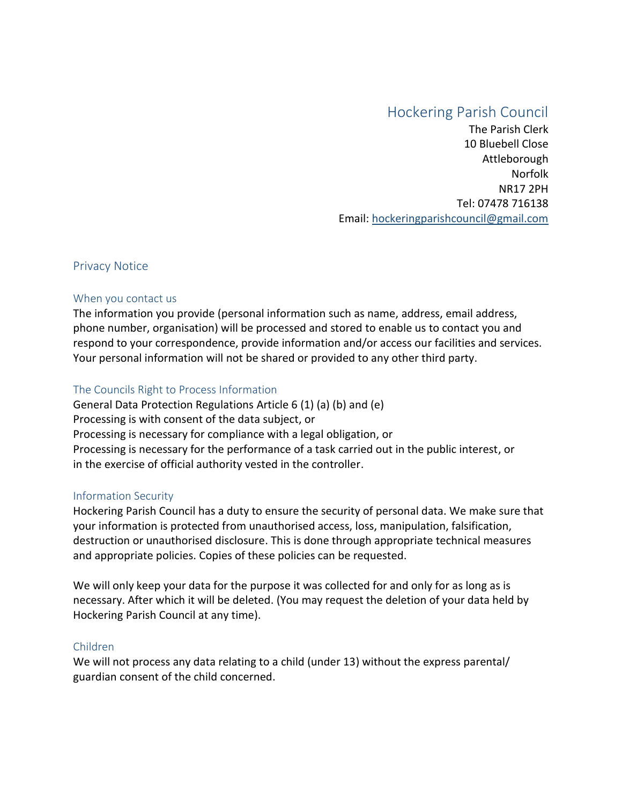# Hockering Parish Council

The Parish Clerk 10 Bluebell Close Attleborough Norfolk NR17 2PH Tel: 07478 716138 Email: [hockeringparishcouncil@gmail.com](mailto:hockeringparishcouncil@gmail.com)

## Privacy Notice

## When you contact us

The information you provide (personal information such as name, address, email address, phone number, organisation) will be processed and stored to enable us to contact you and respond to your correspondence, provide information and/or access our facilities and services. Your personal information will not be shared or provided to any other third party.

# The Councils Right to Process Information

General Data Protection Regulations Article 6 (1) (a) (b) and (e) Processing is with consent of the data subject, or Processing is necessary for compliance with a legal obligation, or Processing is necessary for the performance of a task carried out in the public interest, or in the exercise of official authority vested in the controller.

## Information Security

Hockering Parish Council has a duty to ensure the security of personal data. We make sure that your information is protected from unauthorised access, loss, manipulation, falsification, destruction or unauthorised disclosure. This is done through appropriate technical measures and appropriate policies. Copies of these policies can be requested.

We will only keep your data for the purpose it was collected for and only for as long as is necessary. After which it will be deleted. (You may request the deletion of your data held by Hockering Parish Council at any time).

## Children

We will not process any data relating to a child (under 13) without the express parental/ guardian consent of the child concerned.